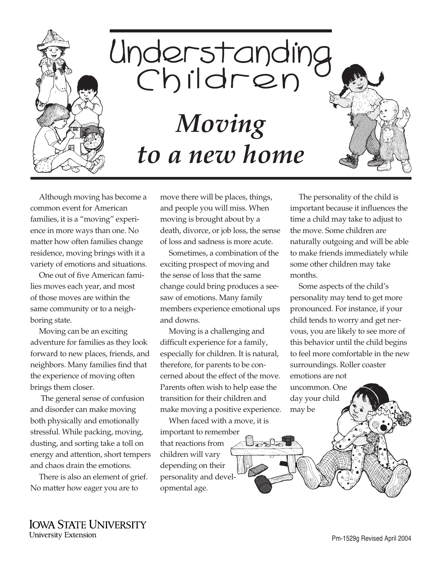

Although moving has become a common event for American families, it is a "moving" experience in more ways than one. No matter how often families change residence, moving brings with it a variety of emotions and situations.

One out of five American families moves each year, and most of those moves are within the same community or to a neighboring state.

Moving can be an exciting adventure for families as they look forward to new places, friends, and neighbors. Many families find that the experience of moving often brings them closer.

 The general sense of confusion and disorder can make moving both physically and emotionally stressful. While packing, moving, dusting, and sorting take a toll on energy and attention, short tempers and chaos drain the emotions.

There is also an element of grief. No matter how eager you are to

move there will be places, things, and people you will miss. When moving is brought about by a death, divorce, or job loss, the sense of loss and sadness is more acute.

Sometimes, a combination of the exciting prospect of moving and the sense of loss that the same change could bring produces a seesaw of emotions. Many family members experience emotional ups and downs.

Moving is a challenging and difficult experience for a family, especially for children. It is natural, therefore, for parents to be concerned about the effect of the move. Parents often wish to help ease the transition for their children and make moving a positive experience.

When faced with a move, it is important to remember that reactions from children will vary

depending on their personality and developmental age.

The personality of the child is important because it influences the time a child may take to adjust to the move. Some children are naturally outgoing and will be able to make friends immediately while some other children may take months.

Some aspects of the child's personality may tend to get more pronounced. For instance, if your child tends to worry and get nervous, you are likely to see more of this behavior until the child begins to feel more comfortable in the new surroundings. Roller coaster emotions are not

uncommon. One day your child may be

**IOWA STATE UNIVERSITY University Extension**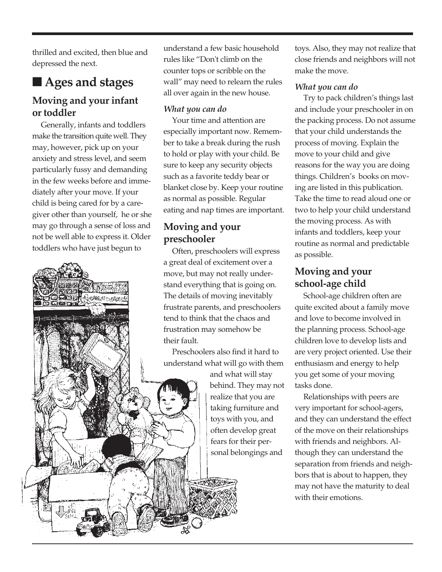thrilled and excited, then blue and depressed the next.

# ■ **Ages and stages**

## **Moving and your infant or toddler**

Generally, infants and toddlers make the transition quite well. They may, however, pick up on your anxiety and stress level, and seem particularly fussy and demanding in the few weeks before and immediately after your move. If your child is being cared for by a caregiver other than yourself, he or she may go through a sense of loss and not be well able to express it. Older toddlers who have just begun to

their fault.

understand a few basic household rules like "Don't climb on the counter tops or scribble on the wall" may need to relearn the rules all over again in the new house.

#### *What you can do*

Your time and attention are especially important now. Remember to take a break during the rush to hold or play with your child. Be sure to keep any security objects such as a favorite teddy bear or blanket close by. Keep your routine as normal as possible. Regular eating and nap times are important.

## **Moving and your preschooler**

Often, preschoolers will express a great deal of excitement over a move, but may not really understand everything that is going on. The details of moving inevitably frustrate parents, and preschoolers tend to think that the chaos and frustration may somehow be

Preschoolers also find it hard to understand what will go with them

> and what will stay behind. They may not realize that you are taking furniture and toys with you, and often develop great fears for their personal belongings and

toys. Also, they may not realize that close friends and neighbors will not make the move.

### *What you can do*

Try to pack children's things last and include your preschooler in on the packing process. Do not assume that your child understands the process of moving. Explain the move to your child and give reasons for the way you are doing things. Children's books on moving are listed in this publication. Take the time to read aloud one or two to help your child understand the moving process. As with infants and toddlers, keep your routine as normal and predictable as possible.

## **Moving and your school-age child**

School-age children often are quite excited about a family move and love to become involved in the planning process. School-age children love to develop lists and are very project oriented. Use their enthusiasm and energy to help you get some of your moving tasks done.

Relationships with peers are very important for school-agers, and they can understand the effect of the move on their relationships with friends and neighbors. Although they can understand the separation from friends and neighbors that is about to happen, they may not have the maturity to deal with their emotions.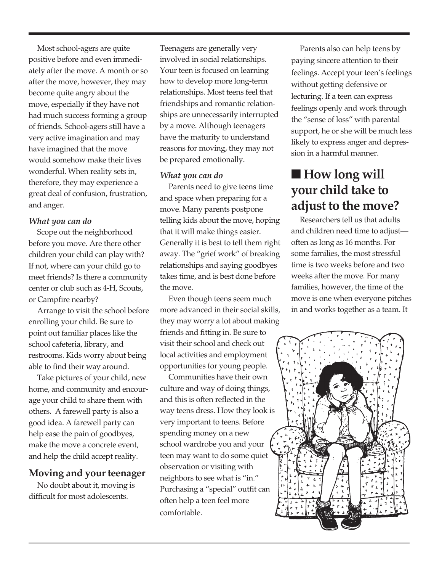Most school-agers are quite positive before and even immediately after the move. A month or so after the move, however, they may become quite angry about the move, especially if they have not had much success forming a group of friends. School-agers still have a very active imagination and may have imagined that the move would somehow make their lives wonderful. When reality sets in, therefore, they may experience a great deal of confusion, frustration, and anger.

#### *What you can do*

Scope out the neighborhood before you move. Are there other children your child can play with? If not, where can your child go to meet friends? Is there a community center or club such as 4-H, Scouts, or Campfire nearby?

Arrange to visit the school before enrolling your child. Be sure to point out familiar places like the school cafeteria, library, and restrooms. Kids worry about being able to find their way around.

Take pictures of your child, new home, and community and encourage your child to share them with others. A farewell party is also a good idea. A farewell party can help ease the pain of goodbyes, make the move a concrete event, and help the child accept reality.

### **Moving and your teenager**

No doubt about it, moving is difficult for most adolescents.

Teenagers are generally very involved in social relationships. Your teen is focused on learning how to develop more long-term relationships. Most teens feel that friendships and romantic relationships are unnecessarily interrupted by a move. Although teenagers have the maturity to understand reasons for moving, they may not be prepared emotionally.

#### *What you can do*

Parents need to give teens time and space when preparing for a move. Many parents postpone telling kids about the move, hoping that it will make things easier. Generally it is best to tell them right away. The "grief work" of breaking relationships and saying goodbyes takes time, and is best done before the move.

Even though teens seem much more advanced in their social skills, they may worry a lot about making friends and fitting in. Be sure to visit their school and check out local activities and employment opportunities for young people.

Communities have their own culture and way of doing things, and this is often reflected in the way teens dress. How they look is very important to teens. Before spending money on a new school wardrobe you and your teen may want to do some quiet observation or visiting with neighbors to see what is "in." Purchasing a "special" outfit can often help a teen feel more comfortable.

Parents also can help teens by paying sincere attention to their feelings. Accept your teen's feelings without getting defensive or lecturing. If a teen can express feelings openly and work through the "sense of loss" with parental support, he or she will be much less likely to express anger and depression in a harmful manner.

## ■ **How long will your child take to adjust to the move?**

Researchers tell us that adults and children need time to adjust often as long as 16 months. For some families, the most stressful time is two weeks before and two weeks after the move. For many families, however, the time of the move is one when everyone pitches in and works together as a team. It